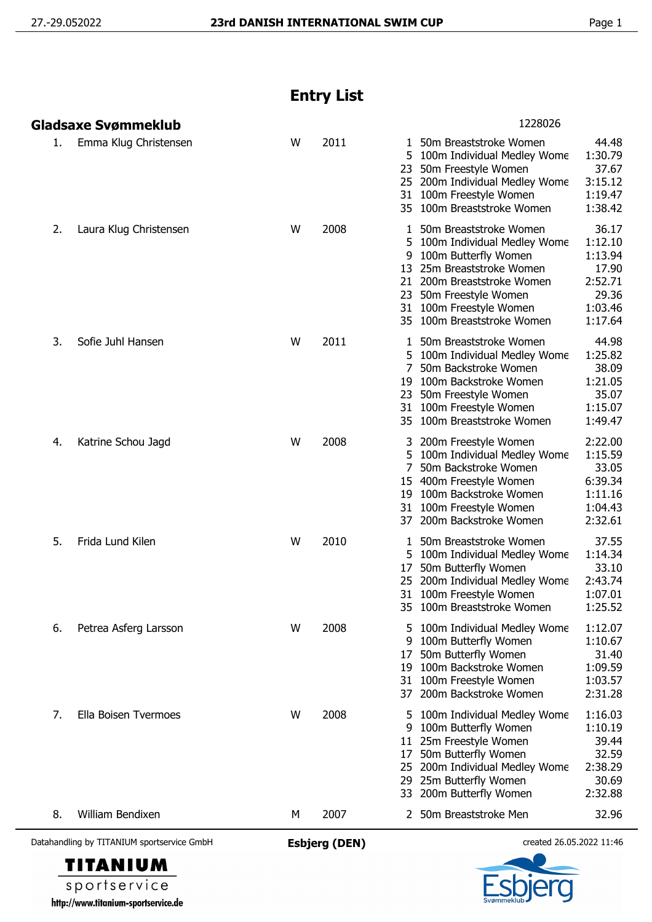## **Entry List**

| Datahandling by TITANIUM sportservice GmbH            | <b>Esbjerg (DEN)</b> |              | created 26.05.2022 11:46                  |                                                                                                                                                                                                                                                                                                                      |                                                                                                                          |
|-------------------------------------------------------|----------------------|--------------|-------------------------------------------|----------------------------------------------------------------------------------------------------------------------------------------------------------------------------------------------------------------------------------------------------------------------------------------------------------------------|--------------------------------------------------------------------------------------------------------------------------|
| 8.<br>William Bendixen                                | М                    | 2007         |                                           | 2 50m Breaststroke Men                                                                                                                                                                                                                                                                                               | 32.96                                                                                                                    |
| 7.<br>Ella Boisen Tvermoes                            | W                    | 2008         | 9<br>17<br>19<br>5<br>9<br>17<br>25<br>33 | 100m Butterfly Women<br>50m Butterfly Women<br>100m Backstroke Women<br>31 100m Freestyle Women<br>37 200m Backstroke Women<br>100m Individual Medley Wome<br>100m Butterfly Women<br>11 25m Freestyle Women<br>50m Butterfly Women<br>200m Individual Medley Wome<br>29 25m Butterfly Women<br>200m Butterfly Women | 1:10.67<br>31.40<br>1:09.59<br>1:03.57<br>2:31.28<br>1:16.03<br>1:10.19<br>39.44<br>32.59<br>2:38.29<br>30.69<br>2:32.88 |
| 5.<br>Frida Lund Kilen<br>6.<br>Petrea Asferg Larsson | W<br>W               | 2010<br>2008 | 17                                        | 1 50m Breaststroke Women<br>100m Individual Medley Wome<br>50m Butterfly Women<br>25 200m Individual Medley Wome<br>31 100m Freestyle Women<br>35 100m Breaststroke Women<br>5 100m Individual Medley Wome                                                                                                           | 37.55<br>1:14.34<br>33.10<br>2:43.74<br>1:07.01<br>1:25.52<br>1:12.07                                                    |
| 4.<br>Katrine Schou Jagd                              | W                    | 2008         | 3<br>5<br>19<br>37                        | 200m Freestyle Women<br>100m Individual Medley Wome<br>50m Backstroke Women<br>15 400m Freestyle Women<br>100m Backstroke Women<br>31 100m Freestyle Women<br>200m Backstroke Women                                                                                                                                  | 2:22.00<br>1:15.59<br>33.05<br>6:39.34<br>1:11.16<br>1:04.43<br>2:32.61                                                  |
| 3.<br>Sofie Juhl Hansen                               | W                    | 2011         | 7<br>19                                   | 1 50m Breaststroke Women<br>5 100m Individual Medley Wome<br>50m Backstroke Women<br>100m Backstroke Women<br>23 50m Freestyle Women<br>31 100m Freestyle Women<br>35 100m Breaststroke Women                                                                                                                        | 44.98<br>1:25.82<br>38.09<br>1:21.05<br>35.07<br>1:15.07<br>1:49.47                                                      |
| 2.<br>Laura Klug Christensen                          | W                    | 2008         | 9                                         | 1 50m Breaststroke Women<br>5 100m Individual Medley Wome<br>100m Butterfly Women<br>13 25m Breaststroke Women<br>21 200m Breaststroke Women<br>23 50m Freestyle Women<br>31 100m Freestyle Women<br>35 100m Breaststroke Women                                                                                      | 36.17<br>1:12.10<br>1:13.94<br>17.90<br>2:52.71<br>29.36<br>1:03.46<br>1:17.64                                           |
| Emma Klug Christensen<br>1.                           | W                    | 2011         | 5<br>23                                   | 1 50m Breaststroke Women<br>100m Individual Medley Wome<br>50m Freestyle Women<br>25 200m Individual Medley Wome<br>31 100m Freestyle Women<br>35 100m Breaststroke Women                                                                                                                                            | 44.48<br>1:30.79<br>37.67<br>3:15.12<br>1:19.47<br>1:38.42                                                               |
| Gladsaxe Svømmeklub                                   |                      |              |                                           | 1228026                                                                                                                                                                                                                                                                                                              |                                                                                                                          |



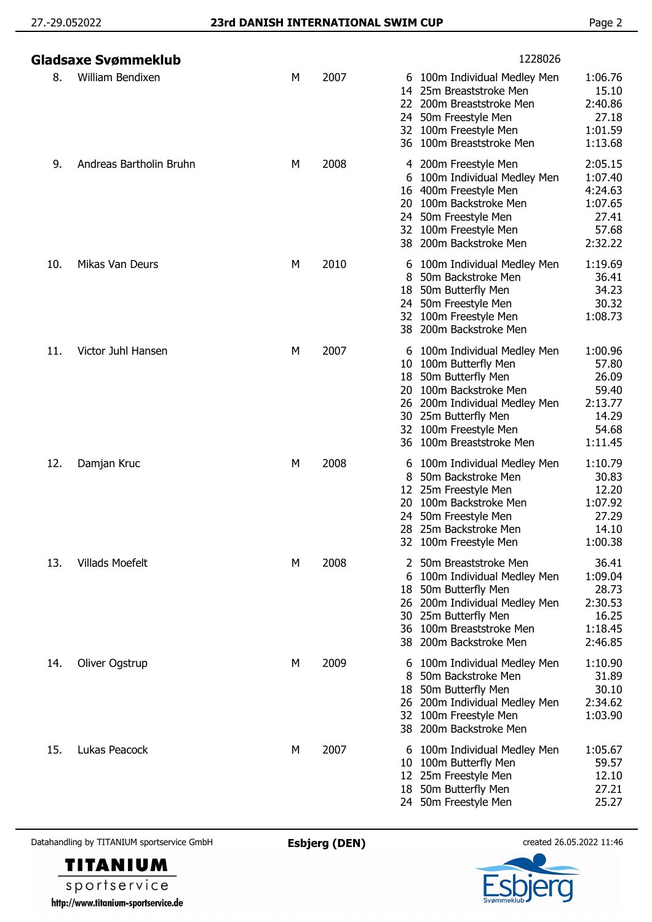|     | Gladsaxe Svømmeklub     |   |      | 1228026                                                                                                                                                                                                                                                                                                             |
|-----|-------------------------|---|------|---------------------------------------------------------------------------------------------------------------------------------------------------------------------------------------------------------------------------------------------------------------------------------------------------------------------|
| 8.  | William Bendixen        | М | 2007 | 1:06.76<br>6 100m Individual Medley Men<br>15.10<br>25m Breaststroke Men<br>14<br>200m Breaststroke Men<br>2:40.86<br>22.<br>27.18<br>50m Freestyle Men<br>24.<br>1:01.59<br>32 100m Freestyle Men<br>36 100m Breaststroke Men<br>1:13.68                                                                           |
| 9.  | Andreas Bartholin Bruhn | М | 2008 | 2:05.15<br>4 200m Freestyle Men<br>1:07.40<br>100m Individual Medley Men<br>6<br>4:24.63<br>400m Freestyle Men<br>16<br>1:07.65<br>100m Backstroke Men<br>20<br>27.41<br>50m Freestyle Men<br>24.<br>57.68<br>32<br>100m Freestyle Men<br>2:32.22<br>38 200m Backstroke Men                                         |
| 10. | Mikas Van Deurs         | М | 2010 | 1:19.69<br>100m Individual Medley Men<br>6<br>50m Backstroke Men<br>36.41<br>8<br>34.23<br>50m Butterfly Men<br>18<br>30.32<br>24 50m Freestyle Men<br>1:08.73<br>32 100m Freestyle Men<br>200m Backstroke Men<br>38                                                                                                |
| 11. | Victor Juhl Hansen      | М | 2007 | 1:00.96<br>100m Individual Medley Men<br>6<br>57.80<br>100m Butterfly Men<br>10<br>50m Butterfly Men<br>26.09<br>18<br>100m Backstroke Men<br>59.40<br>20.<br>2:13.77<br>200m Individual Medley Men<br>26<br>14.29<br>30 25m Butterfly Men<br>32 100m Freestyle Men<br>54.68<br>1:11.45<br>36 100m Breaststroke Men |
| 12. | Damjan Kruc             | М | 2008 | 1:10.79<br>100m Individual Medley Men<br>6<br>50m Backstroke Men<br>30.83<br>8<br>12.20<br>25m Freestyle Men<br>100m Backstroke Men<br>1:07.92<br>20<br>27.29<br>50m Freestyle Men<br>28 25m Backstroke Men<br>14.10<br>1:00.38<br>32 100m Freestyle Men                                                            |
| 13. | <b>Villads Moefelt</b>  | M | 2008 | 36.41<br>50m Breaststroke Men<br>1:09.04<br>100m Individual Medley Men<br>6<br>28.73<br>50m Butterfly Men<br>18<br>2:30.53<br>200m Individual Medley Men<br>26<br>16.25<br>25m Butterfly Men<br>30<br>36 100m Breaststroke Men<br>1:18.45<br>38 200m Backstroke Men<br>2:46.85                                      |
| 14. | Oliver Ogstrup          | M | 2009 | 1:10.90<br>100m Individual Medley Men<br>6<br>50m Backstroke Men<br>31.89<br>8<br>30.10<br>50m Butterfly Men<br>18<br>200m Individual Medley Men<br>2:34.62<br>26<br>100m Freestyle Men<br>1:03.90<br>32<br>38 200m Backstroke Men                                                                                  |
| 15. | Lukas Peacock           | М | 2007 | 1:05.67<br>100m Individual Medley Men<br>6<br>59.57<br>100m Butterfly Men<br>10<br>12.10<br>25m Freestyle Men<br>12<br>27.21<br>50m Butterfly Men<br>18<br>50m Freestyle Men<br>25.27<br>24                                                                                                                         |

Datahandling by TITANIUM sportservice GmbH **Esbjerg (DEN)** created 26.05.2022 11:46



**TITANIUM** sportservice http://www.titanium-sportservice.de